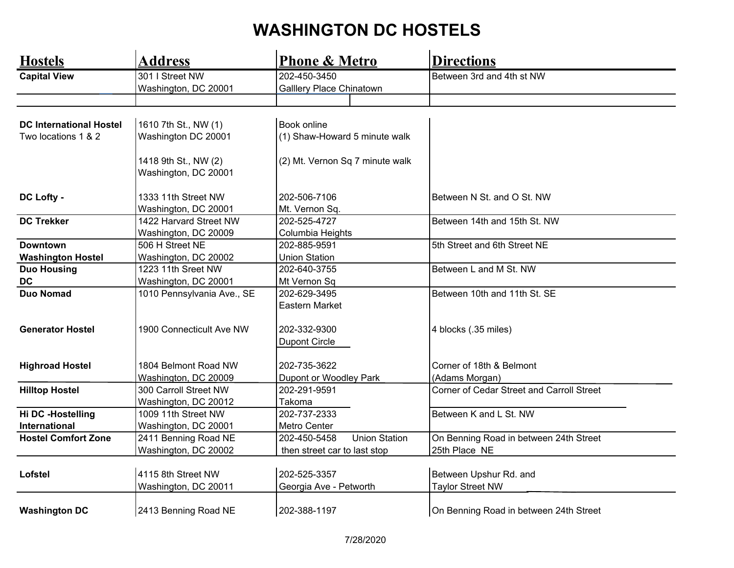## **WASHINGTON DC HOSTELS**

| <b>Hostels</b>                 | <b>Address</b>             | <b>Phone &amp; Metro</b>             | <b>Directions</b>                         |
|--------------------------------|----------------------------|--------------------------------------|-------------------------------------------|
| <b>Capital View</b>            | 301 I Street NW            | 202-450-3450                         | Between 3rd and 4th st NW                 |
|                                | Washington, DC 20001       | Galllery Place Chinatown             |                                           |
|                                |                            |                                      |                                           |
|                                |                            |                                      |                                           |
| <b>DC International Hostel</b> | 1610 7th St., NW (1)       | <b>Book online</b>                   |                                           |
| Two locations 1 & 2            | Washington DC 20001        | (1) Shaw-Howard 5 minute walk        |                                           |
|                                | 1418 9th St., NW (2)       | (2) Mt. Vernon Sq 7 minute walk      |                                           |
|                                | Washington, DC 20001       |                                      |                                           |
| DC Lofty -                     | 1333 11th Street NW        | 202-506-7106                         | Between N St. and O St. NW                |
|                                | Washington, DC 20001       | Mt. Vernon Sq.                       |                                           |
| <b>DC Trekker</b>              | 1422 Harvard Street NW     | 202-525-4727                         | Between 14th and 15th St. NW              |
|                                | Washington, DC 20009       | Columbia Heights                     |                                           |
| <b>Downtown</b>                | 506 H Street NE            | 202-885-9591                         | 5th Street and 6th Street NE              |
| <b>Washington Hostel</b>       | Washington, DC 20002       | <b>Union Station</b>                 |                                           |
| <b>Duo Housing</b>             | 1223 11th Sreet NW         | 202-640-3755                         | Between L and M St. NW                    |
| <b>DC</b>                      | Washington, DC 20001       | Mt Vernon Sq                         |                                           |
| <b>Duo Nomad</b>               | 1010 Pennsylvania Ave., SE | 202-629-3495                         | Between 10th and 11th St. SE              |
|                                |                            | Eastern Market                       |                                           |
| <b>Generator Hostel</b>        | 1900 Connecticult Ave NW   | 202-332-9300                         | 4 blocks (.35 miles)                      |
|                                |                            | <b>Dupont Circle</b>                 |                                           |
| <b>Highroad Hostel</b>         | 1804 Belmont Road NW       | 202-735-3622                         | Corner of 18th & Belmont                  |
|                                | Washington, DC 20009       | Dupont or Woodley Park               | (Adams Morgan)                            |
| <b>Hilltop Hostel</b>          | 300 Carroll Street NW      | 202-291-9591                         | Corner of Cedar Street and Carroll Street |
|                                | Washington, DC 20012       | Takoma                               |                                           |
| Hi DC -Hostelling              | 1009 11th Street NW        | 202-737-2333                         | Between K and L St. NW                    |
| International                  | Washington, DC 20001       | Metro Center                         |                                           |
| <b>Hostel Comfort Zone</b>     | 2411 Benning Road NE       | <b>Union Station</b><br>202-450-5458 | On Benning Road in between 24th Street    |
|                                | Washington, DC 20002       | then street car to last stop         | 25th Place NE                             |
|                                |                            |                                      |                                           |
| Lofstel                        | 4115 8th Street NW         | 202-525-3357                         | Between Upshur Rd. and                    |
|                                | Washington, DC 20011       | Georgia Ave - Petworth               | <b>Taylor Street NW</b>                   |
| <b>Washington DC</b>           | 2413 Benning Road NE       | 202-388-1197                         | On Benning Road in between 24th Street    |